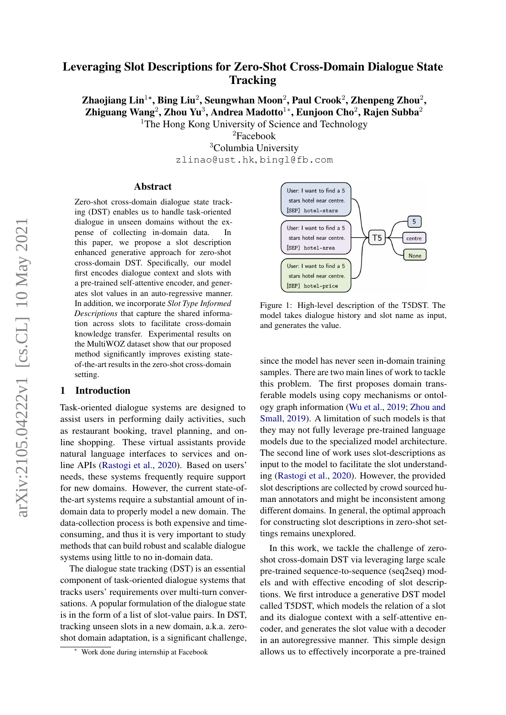# Leveraging Slot Descriptions for Zero-Shot Cross-Domain Dialogue State **Tracking**

Zhaojiang Lin $^{1*}$ , Bing Liu $^{2}$ , Seungwhan Moon $^{2}$ , Paul Crook $^{2}$ , Zhenpeng Zhou $^{2}$ , Zhiguang Wang<sup>2</sup>, Zhou Yu<sup>3</sup>, Andrea Madotto<sup>1</sup>\*, Eunjoon Cho<sup>2</sup>, Rajen Subba<sup>2</sup> <sup>1</sup>The Hong Kong University of Science and Technology

> <sup>2</sup>Facebook <sup>3</sup>Columbia University zlinao@ust.hk, bingl@fb.com

#### Abstract

Zero-shot cross-domain dialogue state tracking (DST) enables us to handle task-oriented dialogue in unseen domains without the expense of collecting in-domain data. In this paper, we propose a slot description enhanced generative approach for zero-shot cross-domain DST. Specifically, our model first encodes dialogue context and slots with a pre-trained self-attentive encoder, and generates slot values in an auto-regressive manner. In addition, we incorporate *Slot Type Informed Descriptions* that capture the shared information across slots to facilitate cross-domain knowledge transfer. Experimental results on the MultiWOZ dataset show that our proposed method significantly improves existing stateof-the-art results in the zero-shot cross-domain setting.

#### 1 Introduction

Task-oriented dialogue systems are designed to assist users in performing daily activities, such as restaurant booking, travel planning, and online shopping. These virtual assistants provide natural language interfaces to services and online APIs [\(Rastogi et al.,](#page-5-0) [2020\)](#page-5-0). Based on users' needs, these systems frequently require support for new domains. However, the current state-ofthe-art systems require a substantial amount of indomain data to properly model a new domain. The data-collection process is both expensive and timeconsuming, and thus it is very important to study methods that can build robust and scalable dialogue systems using little to no in-domain data.

The dialogue state tracking (DST) is an essential component of task-oriented dialogue systems that tracks users' requirements over multi-turn conversations. A popular formulation of the dialogue state is in the form of a list of slot-value pairs. In DST, tracking unseen slots in a new domain, a.k.a. zeroshot domain adaptation, is a significant challenge,

<span id="page-0-0"></span>User: I want to find a 5 stars hotel near centre. [SEP] hotel-stars  $5<sup>1</sup>$ User: I want to find a 5  $T<sub>5</sub>$ stars hotel near centre centre [SEP] hotel-area None User: I want to find a 5 stars hotel near centre [SEP] hotel-price

Figure 1: High-level description of the T5DST. The model takes dialogue history and slot name as input, and generates the value.

since the model has never seen in-domain training samples. There are two main lines of work to tackle this problem. The first proposes domain transferable models using copy mechanisms or ontology graph information [\(Wu et al.,](#page-6-0) [2019;](#page-6-0) [Zhou and](#page-6-1) [Small,](#page-6-1) [2019\)](#page-6-1). A limitation of such models is that they may not fully leverage pre-trained language models due to the specialized model architecture. The second line of work uses slot-descriptions as input to the model to facilitate the slot understanding [\(Rastogi et al.,](#page-5-0) [2020\)](#page-5-0). However, the provided slot descriptions are collected by crowd sourced human annotators and might be inconsistent among different domains. In general, the optimal approach for constructing slot descriptions in zero-shot settings remains unexplored.

In this work, we tackle the challenge of zeroshot cross-domain DST via leveraging large scale pre-trained sequence-to-sequence (seq2seq) models and with effective encoding of slot descriptions. We first introduce a generative DST model called T5DST, which models the relation of a slot and its dialogue context with a self-attentive encoder, and generates the slot value with a decoder in an autoregressive manner. This simple design allows us to effectively incorporate a pre-trained

<sup>∗</sup> Work done during internship at Facebook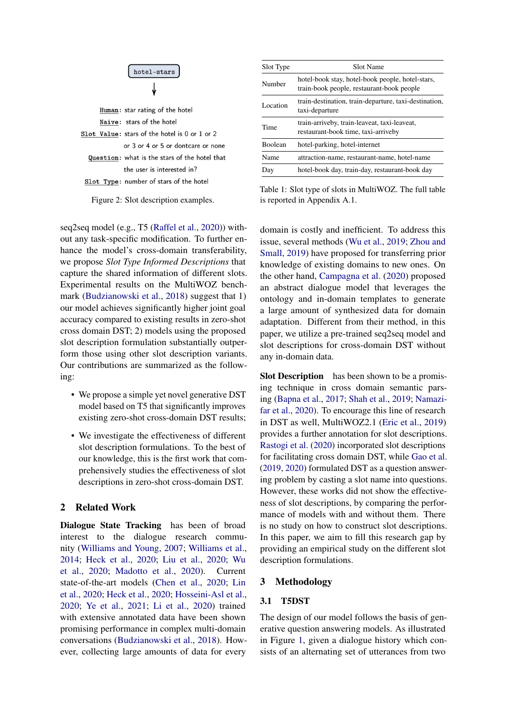

Naive: stars of the hotel Slot Value: stars of the hotel is 0 or 1 or 2 or 3 or 4 or 5 or dontcare or none Question: what is the stars of the hotel that the user is interested in? Slot Type: number of stars of the hotel

Figure 2: Slot description examples.

seq2seq model (e.g., T5 [\(Raffel et al.,](#page-5-1) [2020\)](#page-5-1)) without any task-specific modification. To further enhance the model's cross-domain transferability, we propose *Slot Type Informed Descriptions* that capture the shared information of different slots. Experimental results on the MultiWOZ benchmark [\(Budzianowski et al.,](#page-5-2) [2018\)](#page-5-2) suggest that 1) our model achieves significantly higher joint goal accuracy compared to existing results in zero-shot cross domain DST; 2) models using the proposed slot description formulation substantially outperform those using other slot description variants. Our contributions are summarized as the following:

- We propose a simple yet novel generative DST model based on T5 that significantly improves existing zero-shot cross-domain DST results;
- We investigate the effectiveness of different slot description formulations. To the best of our knowledge, this is the first work that comprehensively studies the effectiveness of slot descriptions in zero-shot cross-domain DST.

## 2 Related Work

Dialogue State Tracking has been of broad interest to the dialogue research community [\(Williams and Young,](#page-6-2) [2007;](#page-6-2) [Williams et al.,](#page-6-3) [2014;](#page-6-3) [Heck et al.,](#page-5-3) [2020;](#page-5-3) [Liu et al.,](#page-5-4) [2020;](#page-5-4) [Wu](#page-6-4) [et al.,](#page-6-4) [2020;](#page-6-4) [Madotto et al.,](#page-5-5) [2020\)](#page-5-5). Current state-of-the-art models [\(Chen et al.,](#page-5-6) [2020;](#page-5-6) [Lin](#page-5-7) [et al.,](#page-5-7) [2020;](#page-5-7) [Heck et al.,](#page-5-3) [2020;](#page-5-3) [Hosseini-Asl et al.,](#page-5-8) [2020;](#page-5-8) [Ye et al.,](#page-6-5) [2021;](#page-6-5) [Li et al.,](#page-5-9) [2020\)](#page-5-9) trained with extensive annotated data have been shown promising performance in complex multi-domain conversations [\(Budzianowski et al.,](#page-5-2) [2018\)](#page-5-2). However, collecting large amounts of data for every

| Slot Type      | Slot Name                                                                                     |  |  |  |  |  |
|----------------|-----------------------------------------------------------------------------------------------|--|--|--|--|--|
| Number         | hotel-book stay, hotel-book people, hotel-stars,<br>train-book people, restaurant-book people |  |  |  |  |  |
| Location       | train-destination, train-departure, taxi-destination,<br>taxi-departure                       |  |  |  |  |  |
| Time           | train-arriveby, train-leaveat, taxi-leaveat,<br>restaurant-book time, taxi-arriveby           |  |  |  |  |  |
| <b>Boolean</b> | hotel-parking, hotel-internet                                                                 |  |  |  |  |  |
| Name           | attraction-name, restaurant-name, hotel-name                                                  |  |  |  |  |  |
| Day            | hotel-book day, train-day, restaurant-book day                                                |  |  |  |  |  |

Table 1: Slot type of slots in MultiWOZ. The full table is reported in Appendix A.1.

domain is costly and inefficient. To address this issue, several methods [\(Wu et al.,](#page-6-0) [2019;](#page-6-0) [Zhou and](#page-6-1) [Small,](#page-6-1) [2019\)](#page-6-1) have proposed for transferring prior knowledge of existing domains to new ones. On the other hand, [Campagna et al.](#page-5-10) [\(2020\)](#page-5-10) proposed an abstract dialogue model that leverages the ontology and in-domain templates to generate a large amount of synthesized data for domain adaptation. Different from their method, in this paper, we utilize a pre-trained seq2seq model and slot descriptions for cross-domain DST without any in-domain data.

Slot Description has been shown to be a promising technique in cross domain semantic parsing [\(Bapna et al.,](#page-5-11) [2017;](#page-5-11) [Shah et al.,](#page-5-12) [2019;](#page-5-12) [Namazi](#page-5-13)[far et al.,](#page-5-13) [2020\)](#page-5-13). To encourage this line of research in DST as well, MultiWOZ2.1 [\(Eric et al.,](#page-5-14) [2019\)](#page-5-14) provides a further annotation for slot descriptions. [Rastogi et al.](#page-5-0) [\(2020\)](#page-5-0) incorporated slot descriptions for facilitating cross domain DST, while [Gao et al.](#page-5-15) [\(2019,](#page-5-15) [2020\)](#page-5-16) formulated DST as a question answering problem by casting a slot name into questions. However, these works did not show the effectiveness of slot descriptions, by comparing the performance of models with and without them. There is no study on how to construct slot descriptions. In this paper, we aim to fill this research gap by providing an empirical study on the different slot description formulations.

### 3 Methodology

#### 3.1 T5DST

The design of our model follows the basis of generative question answering models. As illustrated in Figure [1,](#page-0-0) given a dialogue history which consists of an alternating set of utterances from two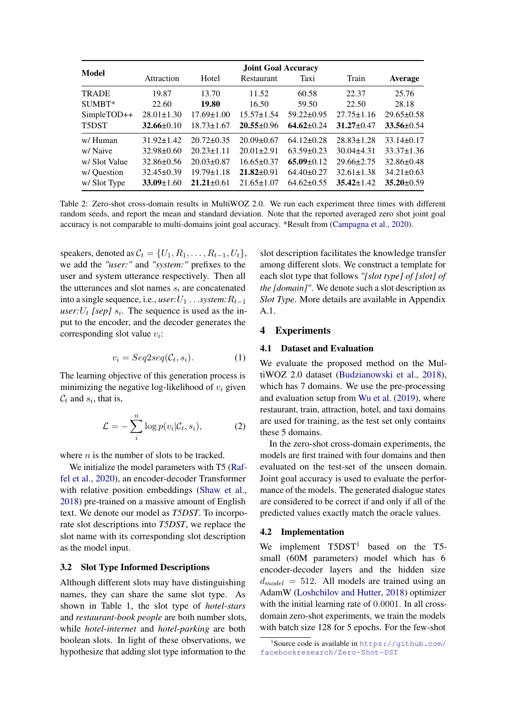<span id="page-2-1"></span>

|               | <b>Joint Goal Accuracy</b> |                  |                  |                  |                  |                  |  |  |  |  |
|---------------|----------------------------|------------------|------------------|------------------|------------------|------------------|--|--|--|--|
| Model         | Attraction                 | Hotel            | Restaurant       | Taxi             | Train            | Average          |  |  |  |  |
| <b>TRADE</b>  | 19.87                      | 13.70            | 11.52            | 60.58            | 22.37            | 25.76            |  |  |  |  |
| SUMBT*        | 22.60                      | 19.80            | 16.50            | 59.50            | 22.50            | 28.18            |  |  |  |  |
| SimpleTOD++   | $28.01 \pm 1.30$           | $17.69 \pm 1.00$ | $15.57 \pm 1.54$ | $59.22 \pm 0.95$ | $27.75 \pm 1.16$ | $29.65 \pm 0.58$ |  |  |  |  |
| T5DST         | $32.66 \pm 0.10$           | $18.73 \pm 1.67$ | $20.55 \pm 0.96$ | $64.62 \pm 0.24$ | $31.27 \pm 0.47$ | $33.56 \pm 0.54$ |  |  |  |  |
| w/Human       | $31.92 \pm 1.42$           | $20.72 \pm 0.35$ | $20.09 \pm 0.67$ | $64.12\pm0.28$   | $28.83 \pm 1.28$ | $33.14 \pm 0.17$ |  |  |  |  |
| w/Naive       | $32.98 \pm 0.60$           | $20.23 \pm 1.11$ | $20.01 \pm 2.91$ | $63.59 \pm 0.23$ | $30.04\pm4.31$   | $33.37 \pm 1.36$ |  |  |  |  |
| w/ Slot Value | $32.86\pm0.56$             | $20.03 \pm 0.87$ | $16.65 \pm 0.37$ | $65.09 \pm 0.12$ | $29.66 \pm 2.75$ | $32.86\pm0.48$   |  |  |  |  |
| w/ Question   | $32.45 \pm 0.39$           | $19.79 \pm 1.18$ | $21.82 \pm 0.91$ | $64.40\pm0.27$   | $32.61 \pm 1.38$ | $34.21 \pm 0.63$ |  |  |  |  |
| w/Slot Type   | $33.09 \pm 1.60$           | $21.21 \pm 0.61$ | $21.65 \pm 1.07$ | $64.62 \pm 0.55$ | $35.42 \pm 1.42$ | $35.20 \pm 0.59$ |  |  |  |  |

Table 2: Zero-shot cross-domain results in MultiWOZ 2.0. We run each experiment three times with different random seeds, and report the mean and standard deviation. Note that the reported averaged zero shot joint goal accuracy is not comparable to multi-domains joint goal accuracy. \*Result from [\(Campagna et al.,](#page-5-10) [2020\)](#page-5-10).

speakers, denoted as  $C_t = \{U_1, R_1, \ldots, R_{t-1}, U_t\},\$ we add the *"user:"* and *"system:"* prefixes to the user and system utterance respectively. Then all the utterances and slot names  $s_i$  are concatenated into a single sequence, i.e., *user*: $U_1$ ...*system:* $R_{t-1}$ *user*: $U_t$  *[sep]*  $s_i$ . The sequence is used as the input to the encoder, and the decoder generates the corresponding slot value  $v_i$ :

$$
v_i = Seq2seq(\mathcal{C}_t, s_i). \tag{1}
$$

The learning objective of this generation process is minimizing the negative log-likelihood of  $v_i$  given  $\mathcal{C}_t$  and  $s_i$ , that is,

$$
\mathcal{L} = -\sum_{i}^{n} \log p(v_i | \mathcal{C}_t, s_i), \tag{2}
$$

where  $n$  is the number of slots to be tracked.

We initialize the model parameters with T5 [\(Raf](#page-5-1)[fel et al.,](#page-5-1) [2020\)](#page-5-1), an encoder-decoder Transformer with relative position embeddings [\(Shaw et al.,](#page-6-6) [2018\)](#page-6-6) pre-trained on a massive amount of English text. We denote our model as *T5DST*. To incorporate slot descriptions into *T5DST*, we replace the slot name with its corresponding slot description as the model input.

#### 3.2 Slot Type Informed Descriptions

Although different slots may have distinguishing names, they can share the same slot type. As shown in Table 1, the slot type of *hotel-stars* and *restaurant-book people* are both number slots, while *hotel-internet* and *hotel-parking* are both boolean slots. In light of these observations, we hypothesize that adding slot type information to the

slot description facilitates the knowledge transfer among different slots. We construct a template for each slot type that follows *"[slot type] of [slot] of the [domain]"*. We denote such a slot description as *Slot Type*. More details are available in Appendix A.1.

#### 4 Experiments

#### 4.1 Dataset and Evaluation

We evaluate the proposed method on the MultiWOZ 2.0 dataset [\(Budzianowski et al.,](#page-5-2) [2018\)](#page-5-2), which has 7 domains. We use the pre-processing and evaluation setup from [Wu et al.](#page-6-0) [\(2019\)](#page-6-0), where restaurant, train, attraction, hotel, and taxi domains are used for training, as the test set only contains these 5 domains.

In the zero-shot cross-domain experiments, the models are first trained with four domains and then evaluated on the test-set of the unseen domain. Joint goal accuracy is used to evaluate the performance of the models. The generated dialogue states are considered to be correct if and only if all of the predicted values exactly match the oracle values.

#### 4.2 Implementation

We implement  $T5DST<sup>1</sup>$  $T5DST<sup>1</sup>$  $T5DST<sup>1</sup>$  based on the T5small (60M parameters) model which has 6 encoder-decoder layers and the hidden size  $d_{model} = 512$ . All models are trained using an AdamW [\(Loshchilov and Hutter,](#page-5-17) [2018\)](#page-5-17) optimizer with the initial learning rate of 0.0001. In all crossdomain zero-shot experiments, we train the models with batch size 128 for 5 epochs. For the few-shot

<span id="page-2-0"></span><sup>1</sup> Source code is available in [https://github.com/](https://github.com/facebookresearch/Zero-Shot-DST) [facebookresearch/Zero-Shot-DST](https://github.com/facebookresearch/Zero-Shot-DST)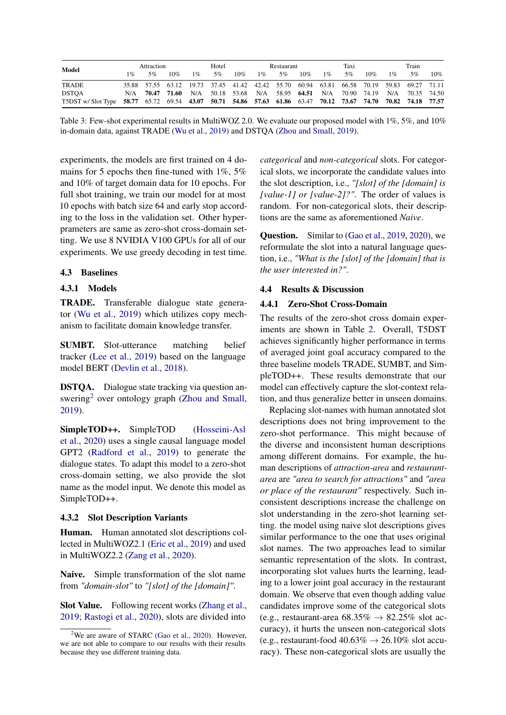<span id="page-3-1"></span>

| Model                                                                                                       | Attraction |       | Hotel |       | Restaurant |                                                                                           | Taxi  |    | Train |       |    |     |       |                 |     |
|-------------------------------------------------------------------------------------------------------------|------------|-------|-------|-------|------------|-------------------------------------------------------------------------------------------|-------|----|-------|-------|----|-----|-------|-----------------|-----|
|                                                                                                             | $1\%$      | 5%    | 10%   | $1\%$ | 5%         | 10%                                                                                       | $1\%$ | 5% | 10%   | $1\%$ | 5% | 10% | $1\%$ | 5%              | 10% |
| <b>TRADE</b>                                                                                                |            |       |       |       |            | 35.88 57.55 63.12 19.73 37.45 41.42 42.42 55.70 60.94 63.81 66.58 70.19 59.83 69.27 71.11 |       |    |       |       |    |     |       |                 |     |
| <b>DSTOA</b>                                                                                                | N/A        | 70.47 | 71.60 |       |            | N/A 50.18 53.68 N/A 58.95 64.51 N/A 70.90 74.19                                           |       |    |       |       |    |     |       | N/A 70.35 74.50 |     |
| T5DST w/Slot Type 58.77 65.72 69.54 43.07 50.71 54.86 57.63 61.86 63.47 70.12 73.67 74.70 70.82 74.18 77.57 |            |       |       |       |            |                                                                                           |       |    |       |       |    |     |       |                 |     |

Table 3: Few-shot experimental results in MultiWOZ 2.0. We evaluate our proposed model with  $1\%$ , 5%, and  $10\%$ in-domain data, against TRADE [\(Wu et al.,](#page-6-0) [2019\)](#page-6-0) and DSTQA [\(Zhou and Small,](#page-6-1) [2019\)](#page-6-1).

experiments, the models are first trained on 4 domains for 5 epochs then fine-tuned with  $1\%$ , 5% and 10% of target domain data for 10 epochs. For full shot training, we train our model for at most 10 epochs with batch size 64 and early stop according to the loss in the validation set. Other hyperprameters are same as zero-shot cross-domain setting. We use 8 NVIDIA V100 GPUs for all of our experiments. We use greedy decoding in test time.

#### 4.3 Baselines

#### 4.3.1 Models

TRADE. Transferable dialogue state generator [\(Wu et al.,](#page-6-0) [2019\)](#page-6-0) which utilizes copy mechanism to facilitate domain knowledge transfer.

SUMBT. Slot-utterance matching belief tracker [\(Lee et al.,](#page-5-18) [2019\)](#page-5-18) based on the language model BERT [\(Devlin et al.,](#page-5-19) [2018\)](#page-5-19).

DSTQA. Dialogue state tracking via question an-swering<sup>[2](#page-3-0)</sup> over ontology graph [\(Zhou and Small,](#page-6-1) [2019\)](#page-6-1).

SimpleTOD++. SimpleTOD [\(Hosseini-Asl](#page-5-8) [et al.,](#page-5-8) [2020\)](#page-5-8) uses a single causal language model GPT2 [\(Radford et al.,](#page-5-20) [2019\)](#page-5-20) to generate the dialogue states. To adapt this model to a zero-shot cross-domain setting, we also provide the slot name as the model input. We denote this model as SimpleTOD++.

#### 4.3.2 Slot Description Variants

Human. Human annotated slot descriptions collected in MultiWOZ2.1 [\(Eric et al.,](#page-5-14) [2019\)](#page-5-14) and used in MultiWOZ2.2 [\(Zang et al.,](#page-6-7) [2020\)](#page-6-7).

Naive. Simple transformation of the slot name from *"domain-slot"* to *"[slot] of the [domain]"*.

Slot Value. Following recent works [\(Zhang et al.,](#page-6-8) [2019;](#page-6-8) [Rastogi et al.,](#page-5-0) [2020\)](#page-5-0), slots are divided into

*categorical* and *non-categorical* slots. For categorical slots, we incorporate the candidate values into the slot description, i.e., *"[slot] of the [domain] is [value-1] or [value-2]?"*. The order of values is random. For non-categorical slots, their descriptions are the same as aforementioned *Naive*.

Question. Similar to [\(Gao et al.,](#page-5-15) [2019,](#page-5-15) [2020\)](#page-5-16), we reformulate the slot into a natural language question, i.e., *"What is the [slot] of the [domain] that is the user interested in?"*.

#### 4.4 Results & Discussion

#### 4.4.1 Zero-Shot Cross-Domain

The results of the zero-shot cross domain experiments are shown in Table [2.](#page-2-1) Overall, T5DST achieves significantly higher performance in terms of averaged joint goal accuracy compared to the three baseline models TRADE, SUMBT, and SimpleTOD++. These results demonstrate that our model can effectively capture the slot-context relation, and thus generalize better in unseen domains.

Replacing slot-names with human annotated slot descriptions does not bring improvement to the zero-shot performance. This might because of the diverse and inconsistent human descriptions among different domains. For example, the human descriptions of *attraction-area* and *restaurantarea* are *"area to search for attractions"* and *"area or place of the restaurant"* respectively. Such inconsistent descriptions increase the challenge on slot understanding in the zero-shot learning setting. the model using naive slot descriptions gives similar performance to the one that uses original slot names. The two approaches lead to similar semantic representation of the slots. In contrast, incorporating slot values hurts the learning, leading to a lower joint goal accuracy in the restaurant domain. We observe that even though adding value candidates improve some of the categorical slots (e.g., restaurant-area  $68.35\% \rightarrow 82.25\%$  slot accuracy), it hurts the unseen non-categorical slots (e.g., restaurant-food  $40.63\% \rightarrow 26.10\%$  slot accuracy). These non-categorical slots are usually the

<span id="page-3-0"></span><sup>&</sup>lt;sup>2</sup>We are aware of STARC [\(Gao et al.,](#page-5-16) [2020\)](#page-5-16). However, we are not able to compare to our results with their results because they use different training data.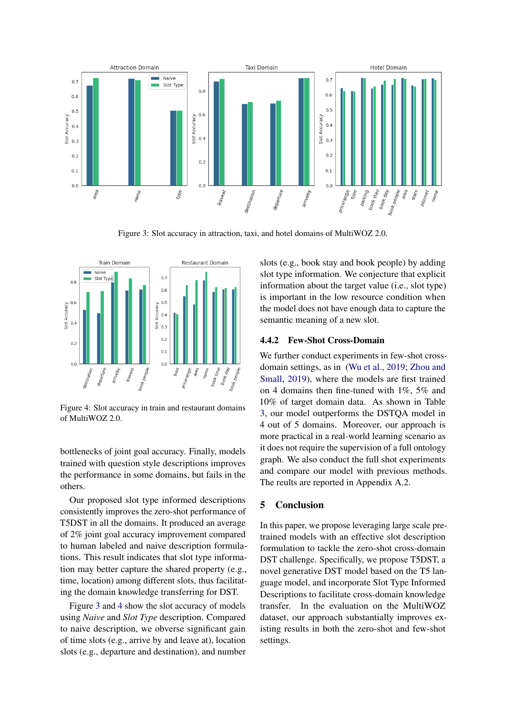<span id="page-4-0"></span>

Figure 3: Slot accuracy in attraction, taxi, and hotel domains of MultiWOZ 2.0.

<span id="page-4-1"></span>

Figure 4: Slot accuracy in train and restaurant domains of MultiWOZ 2.0.

bottlenecks of joint goal accuracy. Finally, models trained with question style descriptions improves the performance in some domains, but fails in the others.

Our proposed slot type informed descriptions consistently improves the zero-shot performance of T5DST in all the domains. It produced an average of 2% joint goal accuracy improvement compared to human labeled and naive description formulations. This result indicates that slot type information may better capture the shared property (e.g., time, location) among different slots, thus facilitating the domain knowledge transferring for DST.

Figure [3](#page-4-0) and [4](#page-4-1) show the slot accuracy of models using *Naive* and *Slot Type* description. Compared to naive description, we obverse significant gain of time slots (e.g., arrive by and leave at), location slots (e.g., departure and destination), and number slots (e.g., book stay and book people) by adding slot type information. We conjecture that explicit information about the target value (i.e., slot type) is important in the low resource condition when the model does not have enough data to capture the semantic meaning of a new slot.

#### 4.4.2 Few-Shot Cross-Domain

We further conduct experiments in few-shot crossdomain settings, as in [\(Wu et al.,](#page-6-0) [2019;](#page-6-0) [Zhou and](#page-6-1) [Small,](#page-6-1) [2019\)](#page-6-1), where the models are first trained on 4 domains then fine-tuned with 1%, 5% and 10% of target domain data. As shown in Table [3,](#page-3-1) our model outperforms the DSTQA model in 4 out of 5 domains. Moreover, our approach is more practical in a real-world learning scenario as it does not require the supervision of a full ontology graph. We also conduct the full shot experiments and compare our model with previous methods. The reults are reported in Appendix A.2.

### 5 Conclusion

In this paper, we propose leveraging large scale pretrained models with an effective slot description formulation to tackle the zero-shot cross-domain DST challenge. Specifically, we propose T5DST, a novel generative DST model based on the T5 language model, and incorporate Slot Type Informed Descriptions to facilitate cross-domain knowledge transfer. In the evaluation on the MultiWOZ dataset, our approach substantially improves existing results in both the zero-shot and few-shot settings.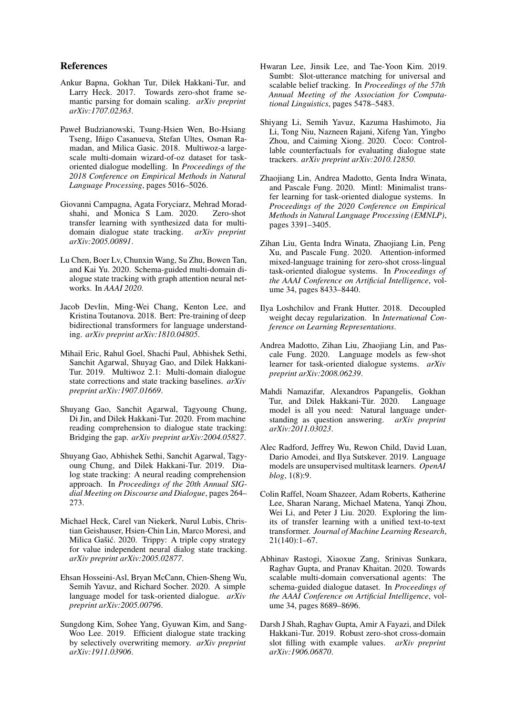#### References

- <span id="page-5-11"></span>Ankur Bapna, Gokhan Tur, Dilek Hakkani-Tur, and Larry Heck. 2017. Towards zero-shot frame semantic parsing for domain scaling. *arXiv preprint arXiv:1707.02363*.
- <span id="page-5-2"></span>Paweł Budzianowski, Tsung-Hsien Wen, Bo-Hsiang Tseng, Iñigo Casanueva, Stefan Ultes, Osman Ramadan, and Milica Gasic. 2018. Multiwoz-a largescale multi-domain wizard-of-oz dataset for taskoriented dialogue modelling. In *Proceedings of the 2018 Conference on Empirical Methods in Natural Language Processing*, pages 5016–5026.
- <span id="page-5-10"></span>Giovanni Campagna, Agata Foryciarz, Mehrad Moradshahi, and Monica S Lam. 2020. Zero-shot transfer learning with synthesized data for multidomain dialogue state tracking. *arXiv preprint arXiv:2005.00891*.
- <span id="page-5-6"></span>Lu Chen, Boer Lv, Chunxin Wang, Su Zhu, Bowen Tan, and Kai Yu. 2020. Schema-guided multi-domain dialogue state tracking with graph attention neural networks. In *AAAI 2020*.
- <span id="page-5-19"></span>Jacob Devlin, Ming-Wei Chang, Kenton Lee, and Kristina Toutanova. 2018. Bert: Pre-training of deep bidirectional transformers for language understanding. *arXiv preprint arXiv:1810.04805*.
- <span id="page-5-14"></span>Mihail Eric, Rahul Goel, Shachi Paul, Abhishek Sethi, Sanchit Agarwal, Shuyag Gao, and Dilek Hakkani-Tur. 2019. Multiwoz 2.1: Multi-domain dialogue state corrections and state tracking baselines. *arXiv preprint arXiv:1907.01669*.
- <span id="page-5-16"></span>Shuyang Gao, Sanchit Agarwal, Tagyoung Chung, Di Jin, and Dilek Hakkani-Tur. 2020. From machine reading comprehension to dialogue state tracking: Bridging the gap. *arXiv preprint arXiv:2004.05827*.
- <span id="page-5-15"></span>Shuyang Gao, Abhishek Sethi, Sanchit Agarwal, Tagyoung Chung, and Dilek Hakkani-Tur. 2019. Dialog state tracking: A neural reading comprehension approach. In *Proceedings of the 20th Annual SIGdial Meeting on Discourse and Dialogue*, pages 264– 273.
- <span id="page-5-3"></span>Michael Heck, Carel van Niekerk, Nurul Lubis, Christian Geishauser, Hsien-Chin Lin, Marco Moresi, and Milica Gašić. 2020. Trippy: A triple copy strategy for value independent neural dialog state tracking. *arXiv preprint arXiv:2005.02877*.
- <span id="page-5-8"></span>Ehsan Hosseini-Asl, Bryan McCann, Chien-Sheng Wu, Semih Yavuz, and Richard Socher. 2020. A simple language model for task-oriented dialogue. *arXiv preprint arXiv:2005.00796*.
- <span id="page-5-21"></span>Sungdong Kim, Sohee Yang, Gyuwan Kim, and Sang-Woo Lee. 2019. Efficient dialogue state tracking by selectively overwriting memory. *arXiv preprint arXiv:1911.03906*.
- <span id="page-5-18"></span>Hwaran Lee, Jinsik Lee, and Tae-Yoon Kim. 2019. Sumbt: Slot-utterance matching for universal and scalable belief tracking. In *Proceedings of the 57th Annual Meeting of the Association for Computational Linguistics*, pages 5478–5483.
- <span id="page-5-9"></span>Shiyang Li, Semih Yavuz, Kazuma Hashimoto, Jia Li, Tong Niu, Nazneen Rajani, Xifeng Yan, Yingbo Zhou, and Caiming Xiong. 2020. Coco: Controllable counterfactuals for evaluating dialogue state trackers. *arXiv preprint arXiv:2010.12850*.
- <span id="page-5-7"></span>Zhaojiang Lin, Andrea Madotto, Genta Indra Winata, and Pascale Fung. 2020. Mintl: Minimalist transfer learning for task-oriented dialogue systems. In *Proceedings of the 2020 Conference on Empirical Methods in Natural Language Processing (EMNLP)*, pages 3391–3405.
- <span id="page-5-4"></span>Zihan Liu, Genta Indra Winata, Zhaojiang Lin, Peng Xu, and Pascale Fung. 2020. Attention-informed mixed-language training for zero-shot cross-lingual task-oriented dialogue systems. In *Proceedings of the AAAI Conference on Artificial Intelligence*, volume 34, pages 8433–8440.
- <span id="page-5-17"></span>Ilya Loshchilov and Frank Hutter. 2018. Decoupled weight decay regularization. In *International Conference on Learning Representations*.
- <span id="page-5-5"></span>Andrea Madotto, Zihan Liu, Zhaojiang Lin, and Pascale Fung. 2020. Language models as few-shot learner for task-oriented dialogue systems. *arXiv preprint arXiv:2008.06239*.
- <span id="page-5-13"></span>Mahdi Namazifar, Alexandros Papangelis, Gokhan Tur, and Dilek Hakkani-Tür. 2020. model is all you need: Natural language understanding as question answering. *arXiv preprint arXiv:2011.03023*.
- <span id="page-5-20"></span>Alec Radford, Jeffrey Wu, Rewon Child, David Luan, Dario Amodei, and Ilya Sutskever. 2019. Language models are unsupervised multitask learners. *OpenAI blog*, 1(8):9.
- <span id="page-5-1"></span>Colin Raffel, Noam Shazeer, Adam Roberts, Katherine Lee, Sharan Narang, Michael Matena, Yanqi Zhou, Wei Li, and Peter J Liu. 2020. Exploring the limits of transfer learning with a unified text-to-text transformer. *Journal of Machine Learning Research*, 21(140):1–67.
- <span id="page-5-0"></span>Abhinav Rastogi, Xiaoxue Zang, Srinivas Sunkara, Raghav Gupta, and Pranav Khaitan. 2020. Towards scalable multi-domain conversational agents: The schema-guided dialogue dataset. In *Proceedings of the AAAI Conference on Artificial Intelligence*, volume 34, pages 8689–8696.
- <span id="page-5-12"></span>Darsh J Shah, Raghav Gupta, Amir A Fayazi, and Dilek Hakkani-Tur. 2019. Robust zero-shot cross-domain slot filling with example values. *arXiv preprint arXiv:1906.06870*.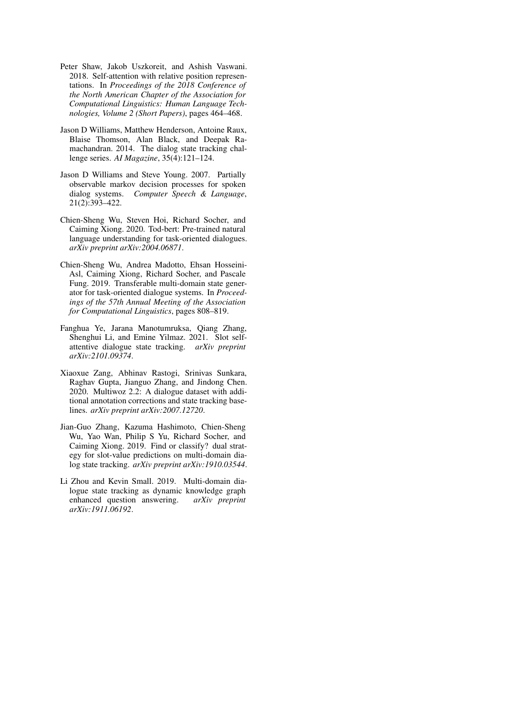- <span id="page-6-6"></span>Peter Shaw, Jakob Uszkoreit, and Ashish Vaswani. 2018. Self-attention with relative position representations. In *Proceedings of the 2018 Conference of the North American Chapter of the Association for Computational Linguistics: Human Language Technologies, Volume 2 (Short Papers)*, pages 464–468.
- <span id="page-6-3"></span>Jason D Williams, Matthew Henderson, Antoine Raux, Blaise Thomson, Alan Black, and Deepak Ramachandran. 2014. The dialog state tracking challenge series. *AI Magazine*, 35(4):121–124.
- <span id="page-6-2"></span>Jason D Williams and Steve Young. 2007. Partially observable markov decision processes for spoken dialog systems. *Computer Speech & Language*, 21(2):393–422.
- <span id="page-6-4"></span>Chien-Sheng Wu, Steven Hoi, Richard Socher, and Caiming Xiong. 2020. Tod-bert: Pre-trained natural language understanding for task-oriented dialogues. *arXiv preprint arXiv:2004.06871*.
- <span id="page-6-0"></span>Chien-Sheng Wu, Andrea Madotto, Ehsan Hosseini-Asl, Caiming Xiong, Richard Socher, and Pascale Fung. 2019. Transferable multi-domain state generator for task-oriented dialogue systems. In *Proceedings of the 57th Annual Meeting of the Association for Computational Linguistics*, pages 808–819.
- <span id="page-6-5"></span>Fanghua Ye, Jarana Manotumruksa, Qiang Zhang, Shenghui Li, and Emine Yilmaz. 2021. Slot selfattentive dialogue state tracking. *arXiv preprint arXiv:2101.09374*.
- <span id="page-6-7"></span>Xiaoxue Zang, Abhinav Rastogi, Srinivas Sunkara, Raghav Gupta, Jianguo Zhang, and Jindong Chen. 2020. Multiwoz 2.2: A dialogue dataset with additional annotation corrections and state tracking baselines. *arXiv preprint arXiv:2007.12720*.
- <span id="page-6-8"></span>Jian-Guo Zhang, Kazuma Hashimoto, Chien-Sheng Wu, Yao Wan, Philip S Yu, Richard Socher, and Caiming Xiong. 2019. Find or classify? dual strategy for slot-value predictions on multi-domain dialog state tracking. *arXiv preprint arXiv:1910.03544*.
- <span id="page-6-1"></span>Li Zhou and Kevin Small. 2019. Multi-domain dialogue state tracking as dynamic knowledge graph enhanced question answering. *arXiv preprint arXiv:1911.06192*.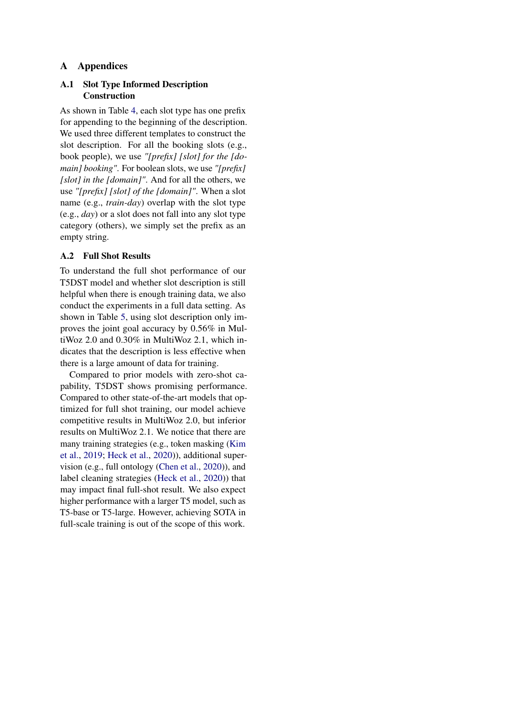## A Appendices

## A.1 Slot Type Informed Description Construction

As shown in Table [4,](#page-8-0) each slot type has one prefix for appending to the beginning of the description. We used three different templates to construct the slot description. For all the booking slots (e.g., book people), we use *"[prefix] [slot] for the [domain] booking"*. For boolean slots, we use *"[prefix] [slot] in the [domain]"*. And for all the others, we use *"[prefix] [slot] of the [domain]"*. When a slot name (e.g., *train-day*) overlap with the slot type (e.g., *day*) or a slot does not fall into any slot type category (others), we simply set the prefix as an empty string.

## A.2 Full Shot Results

To understand the full shot performance of our T5DST model and whether slot description is still helpful when there is enough training data, we also conduct the experiments in a full data setting. As shown in Table [5,](#page-8-1) using slot description only improves the joint goal accuracy by 0.56% in MultiWoz 2.0 and 0.30% in MultiWoz 2.1, which indicates that the description is less effective when there is a large amount of data for training.

Compared to prior models with zero-shot capability, T5DST shows promising performance. Compared to other state-of-the-art models that optimized for full shot training, our model achieve competitive results in MultiWoz 2.0, but inferior results on MultiWoz 2.1. We notice that there are many training strategies (e.g., token masking [\(Kim](#page-5-21) [et al.,](#page-5-21) [2019;](#page-5-21) [Heck et al.,](#page-5-3) [2020\)](#page-5-3)), additional supervision (e.g., full ontology [\(Chen et al.,](#page-5-6) [2020\)](#page-5-6)), and label cleaning strategies [\(Heck et al.,](#page-5-3) [2020\)](#page-5-3)) that may impact final full-shot result. We also expect higher performance with a larger T5 model, such as T5-base or T5-large. However, achieving SOTA in full-scale training is out of the scope of this work.